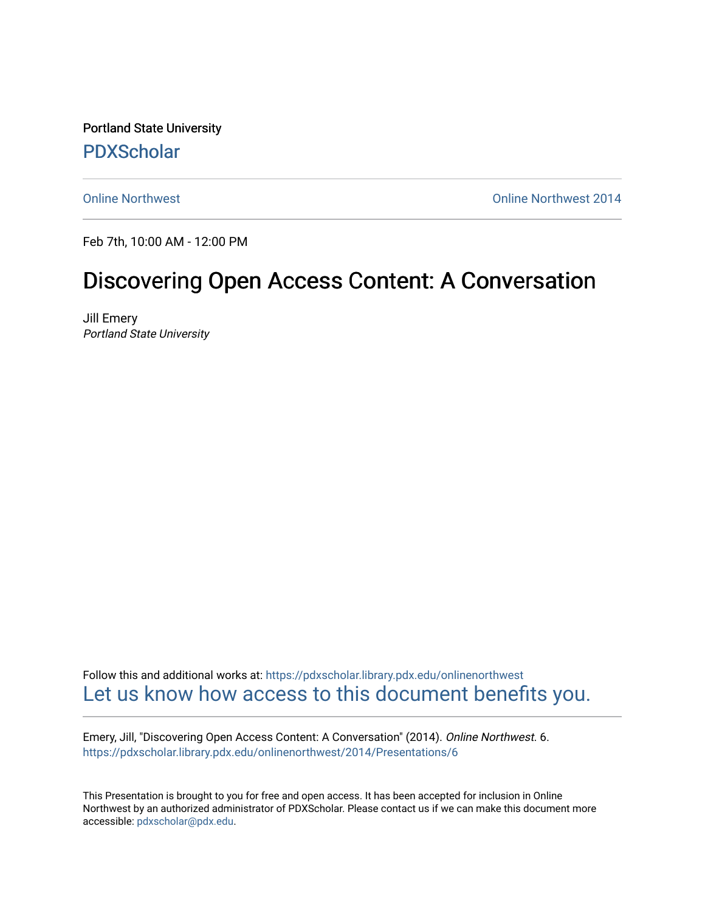Portland State University [PDXScholar](https://pdxscholar.library.pdx.edu/)

[Online Northwest](https://pdxscholar.library.pdx.edu/onlinenorthwest) [Online Northwest 2014](https://pdxscholar.library.pdx.edu/onlinenorthwest/2014) 

Feb 7th, 10:00 AM - 12:00 PM

#### Discovering Open Access Content: A Conversation

Jill Emery Portland State University

Follow this and additional works at: [https://pdxscholar.library.pdx.edu/onlinenorthwest](https://pdxscholar.library.pdx.edu/onlinenorthwest?utm_source=pdxscholar.library.pdx.edu%2Fonlinenorthwest%2F2014%2FPresentations%2F6&utm_medium=PDF&utm_campaign=PDFCoverPages)  [Let us know how access to this document benefits you.](http://library.pdx.edu/services/pdxscholar-services/pdxscholar-feedback/) 

Emery, Jill, "Discovering Open Access Content: A Conversation" (2014). Online Northwest. 6. [https://pdxscholar.library.pdx.edu/onlinenorthwest/2014/Presentations/6](https://pdxscholar.library.pdx.edu/onlinenorthwest/2014/Presentations/6?utm_source=pdxscholar.library.pdx.edu%2Fonlinenorthwest%2F2014%2FPresentations%2F6&utm_medium=PDF&utm_campaign=PDFCoverPages)

This Presentation is brought to you for free and open access. It has been accepted for inclusion in Online Northwest by an authorized administrator of PDXScholar. Please contact us if we can make this document more accessible: [pdxscholar@pdx.edu.](mailto:pdxscholar@pdx.edu)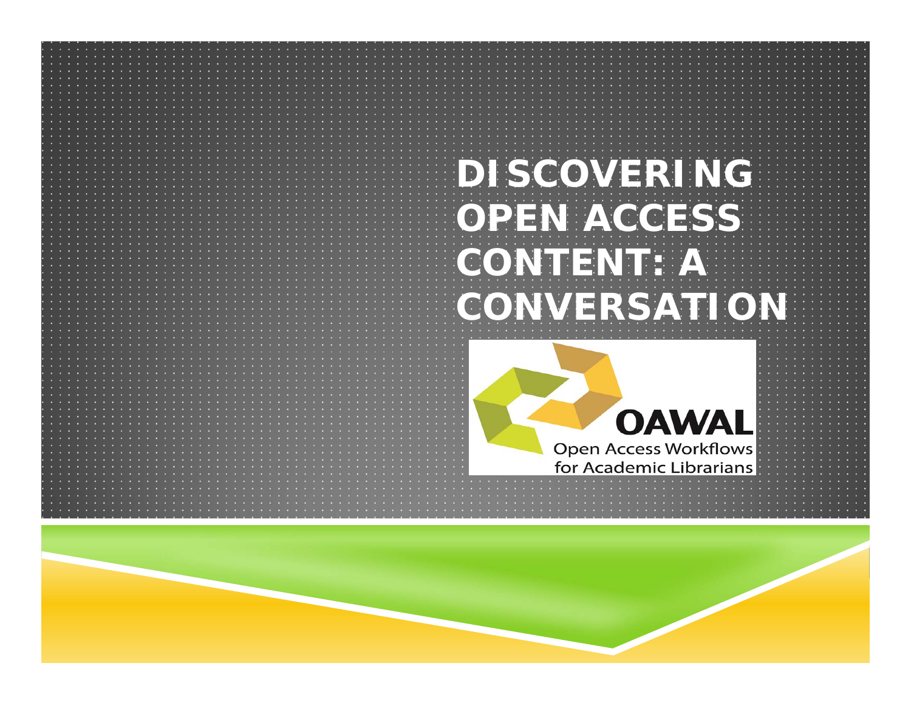

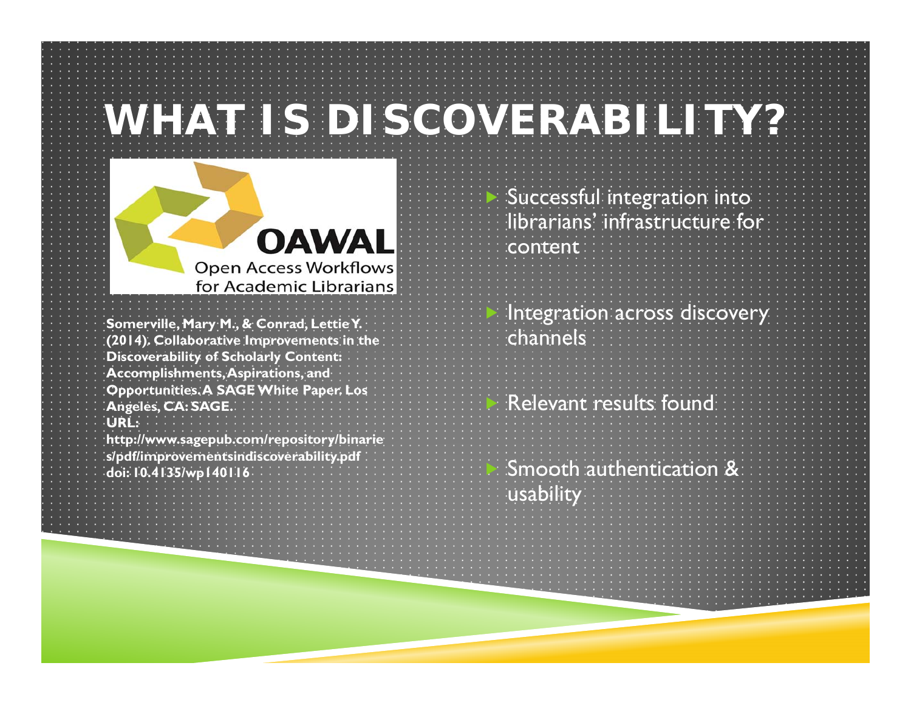### **WHAT IS DISCOVERABILITY?**



**Somerville, Mary M., & Conrad, LettieY. (2014). Collaborative Improvements in the Discoverability of Scholarly Content: Accomplishments, Aspirations, and Opportunities. A SAGE White Paper. Los Angeles, CA: SAGE. URL:** 

**http://www.sagepub.com/repository/binarie s/pdf/improvementsindiscoverability.pdf doi: 10.4135/wp140116**

| Successful integration into |  |  |  |  |  |  |  |  |  |  |  |  |  |  |                                  |  |
|-----------------------------|--|--|--|--|--|--|--|--|--|--|--|--|--|--|----------------------------------|--|
|                             |  |  |  |  |  |  |  |  |  |  |  |  |  |  | i librarians' infrastructure for |  |
|                             |  |  |  |  |  |  |  |  |  |  |  |  |  |  |                                  |  |
|                             |  |  |  |  |  |  |  |  |  |  |  |  |  |  | <b>ENCONTENT ENDINEERS</b>       |  |
|                             |  |  |  |  |  |  |  |  |  |  |  |  |  |  |                                  |  |

Þ Integration across discovery channels

 $\blacktriangleright$ Relevant results found

 $\mathbf{z}$  Smooth authentication &  $|$ usability $|$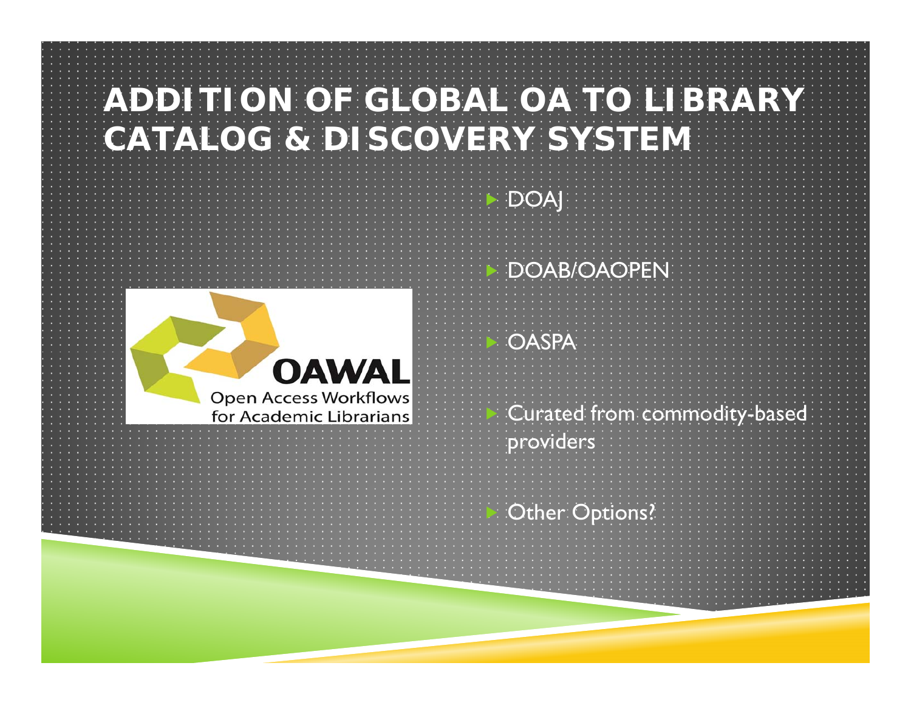#### **ADDITION OF GLOBAL OA TO LIBRARY CATALOG & DISCOVERY SYSTEM**

Þ

DOAJ



Þ DOAB/OAOPEN  $\geq$ **OASPA**  $\geq$  Curated from commodity-based providers Þ Other Options?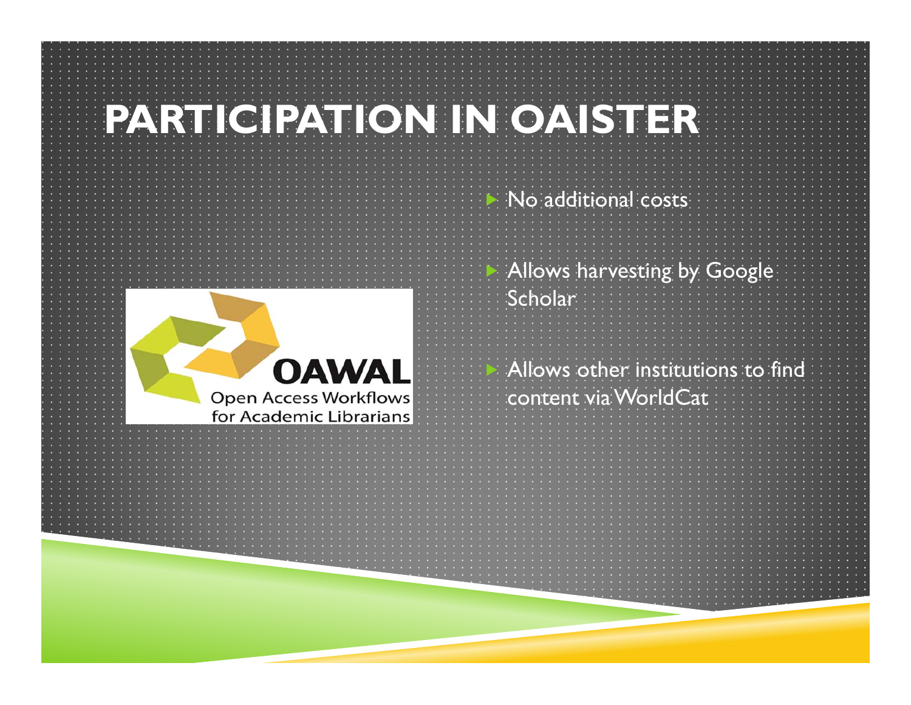## **PARTICIPATION IN OAISTER**

Þ



Þ Allows harvesting by Google **Scholar** Þ Allows other institutions to find content via WorldCat

No additional costs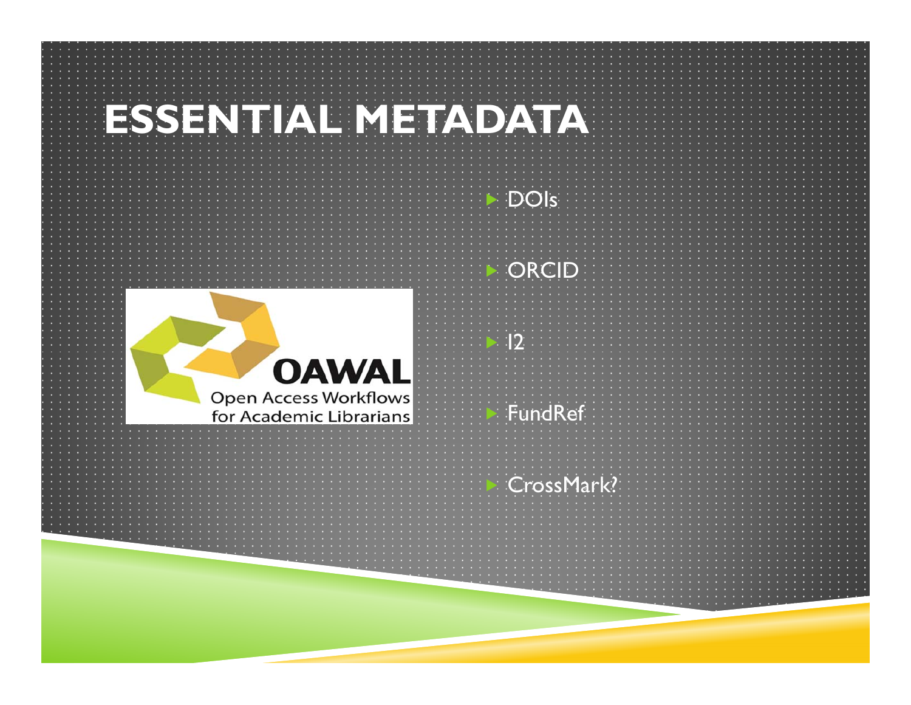# **ESSENTIAL METADATA**



Þ ORCID

DOIs

Þ

 $\geq$ 

 $\mathbf{\Sigma}$ 

 $\overline{12}$ 

 $\geq$ FundRef

#### CrossMark?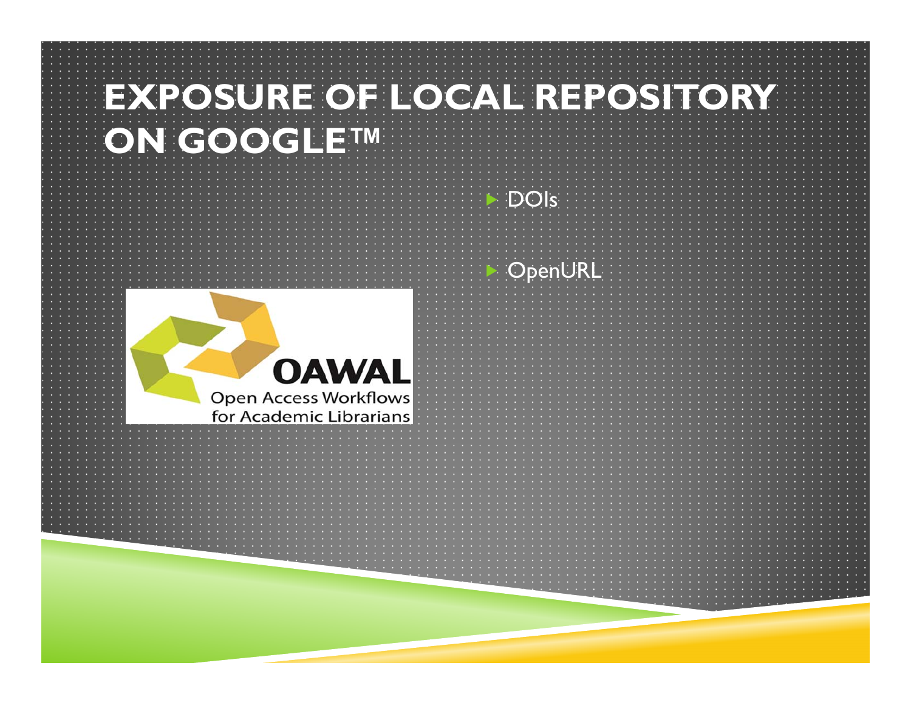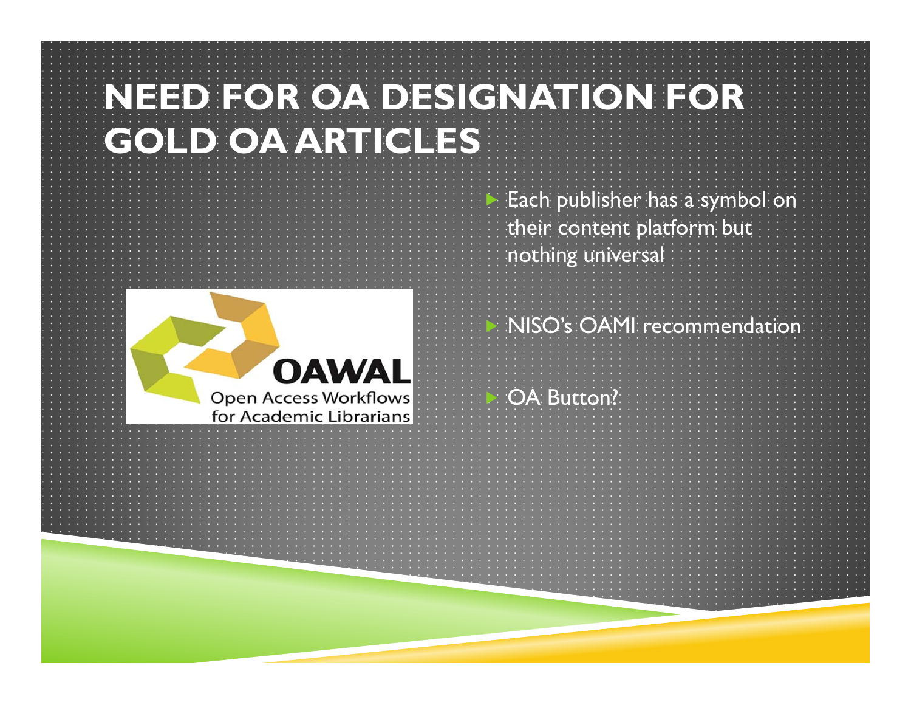### **NEED FOR OA DESIGNATION FOR GOLD OA ARTICLES**



Þ Each publisher has a symbol on their content platform but nothing universal

 $\mathbf{\mathbf{z}}$ NISO's OAMI recommendation

Þ OA Button?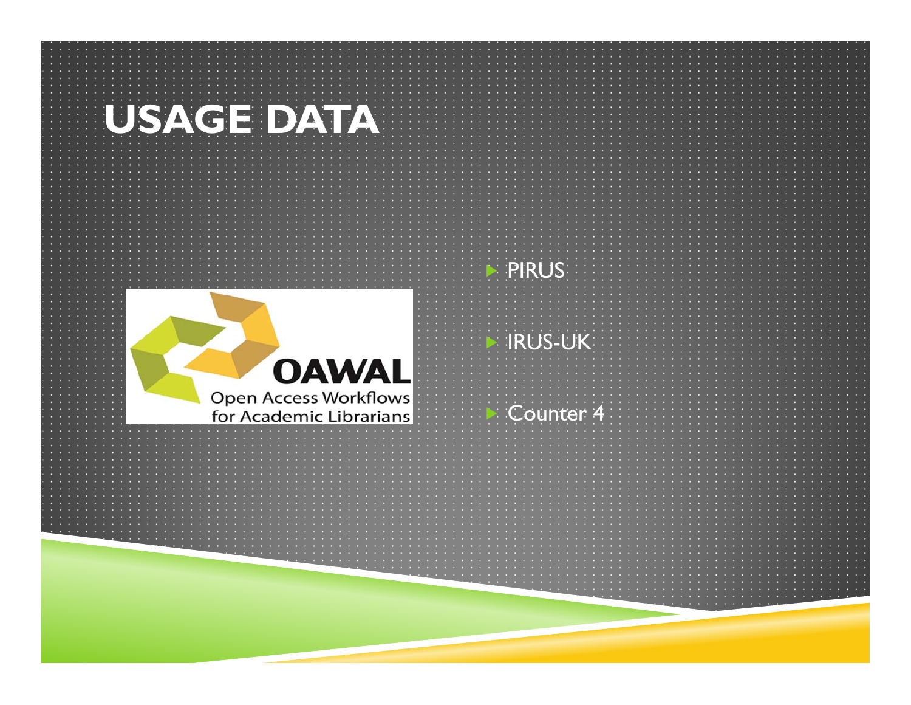